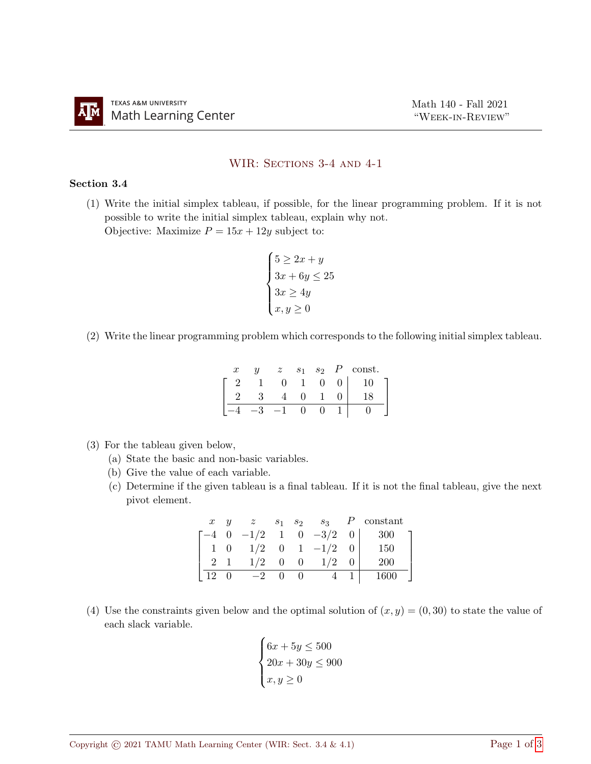## WIR: SECTIONS 3-4 AND 4-1

## Section 3.4

(1) Write the initial simplex tableau, if possible, for the linear programming problem. If it is not possible to write the initial simplex tableau, explain why not.

Objective: Maximize  $P = 15x + 12y$  subject to:

$$
\begin{cases}\n5 \ge 2x + y \\
3x + 6y \le 25 \\
3x \ge 4y \\
x, y \ge 0\n\end{cases}
$$

(2) Write the linear programming problem which corresponds to the following initial simplex tableau.

| $\boldsymbol{x}$ | $\boldsymbol{\mathit{u}}$ | $\widetilde{\mathcal{Z}}$ | S <sub>1</sub> | S <sub>2</sub> | const.       |  |
|------------------|---------------------------|---------------------------|----------------|----------------|--------------|--|
|                  |                           |                           |                |                | $\mathbf{0}$ |  |
|                  |                           |                           |                |                |              |  |
|                  |                           |                           |                |                |              |  |

- (3) For the tableau given below,
	- (a) State the basic and non-basic variables.
	- (b) Give the value of each variable.
	- (c) Determine if the given tableau is a final tableau. If it is not the final tableau, give the next pivot element.

| $\boldsymbol{x}$ | $\boldsymbol{u}$ | z                          |             | $s_1$ $s_2$ $s_3$  | $P$ constant |  |
|------------------|------------------|----------------------------|-------------|--------------------|--------------|--|
|                  |                  | $-4$ 0 $-1/2$ 1 0 $-3/2$ 0 |             |                    | - 300        |  |
| $1 \quad 0$      |                  |                            |             | $1/2$ 0 1 $-1/2$ 0 | 150          |  |
|                  |                  | $1/2$ 0                    | $\Omega$    | 1/2                | <b>200</b>   |  |
| $12\quad0$       |                  | $-2$                       | $0 \quad 0$ |                    | 1600         |  |

(4) Use the constraints given below and the optimal solution of  $(x, y) = (0, 30)$  to state the value of each slack variable.

$$
\begin{cases} 6x + 5y \le 500 \\ 20x + 30y \le 900 \\ x, y \ge 0 \end{cases}
$$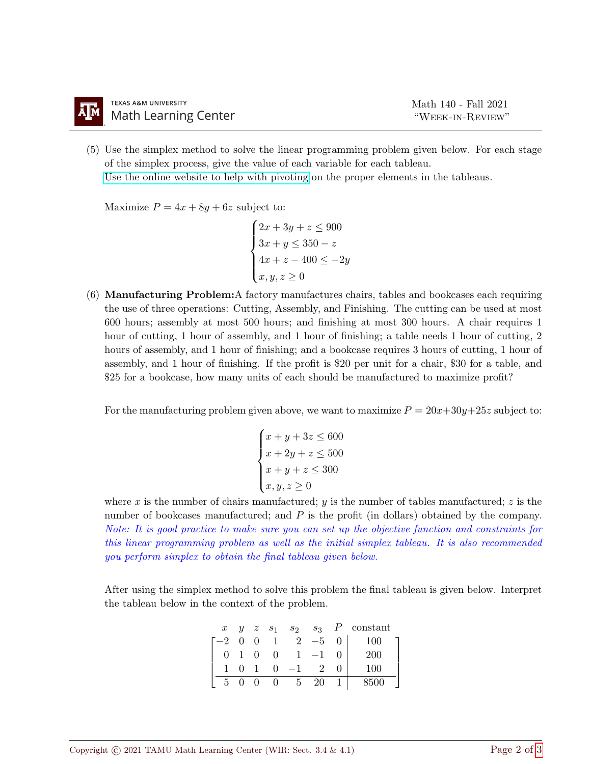(5) Use the simplex method to solve the linear programming problem given below. For each stage of the simplex process, give the value of each variable for each tableau.

[Use the online website to help with pivoting](https://www.zweigmedia.com/spreadsheets/gaussjordanpage.php?lang=en) on the proper elements in the tableaus.

Maximize  $P = 4x + 8y + 6z$  subject to:

$$
\begin{cases}\n2x + 3y + z \le 900 \\
3x + y \le 350 - z \\
4x + z - 400 \le -2y \\
x, y, z \ge 0\n\end{cases}
$$

(6) Manufacturing Problem:A factory manufactures chairs, tables and bookcases each requiring the use of three operations: Cutting, Assembly, and Finishing. The cutting can be used at most 600 hours; assembly at most 500 hours; and finishing at most 300 hours. A chair requires 1 hour of cutting, 1 hour of assembly, and 1 hour of finishing; a table needs 1 hour of cutting, 2 hours of assembly, and 1 hour of finishing; and a bookcase requires 3 hours of cutting, 1 hour of assembly, and 1 hour of finishing. If the profit is \$20 per unit for a chair, \$30 for a table, and \$25 for a bookcase, how many units of each should be manufactured to maximize profit?

For the manufacturing problem given above, we want to maximize  $P = 20x+30y+25z$  subject to:

$$
\begin{cases}\nx + y + 3z \le 600 \\
x + 2y + z \le 500 \\
x + y + z \le 300 \\
x, y, z \ge 0\n\end{cases}
$$

where x is the number of chairs manufactured; y is the number of tables manufactured; z is the number of bookcases manufactured; and P is the profit (in dollars) obtained by the company. Note: It is good practice to make sure you can set up the objective function and constraints for this linear programming problem as well as the initial simplex tableau. It is also recommended you perform simplex to obtain the final tableau given below.

After using the simplex method to solve this problem the final tableau is given below. Interpret the tableau below in the context of the problem.

| $\boldsymbol{x}$ |                |                |            |      |                | $y \quad z \quad s_1 \quad s_2 \quad s_3 \quad P \quad \text{constant}$ |
|------------------|----------------|----------------|------------|------|----------------|-------------------------------------------------------------------------|
|                  |                | $-2$ 0 0 1     | 2          | $-5$ | 0 <sup>1</sup> | 100                                                                     |
|                  | -0             | $\overline{0}$ |            | $-1$ |                | 200                                                                     |
|                  | $\blacksquare$ |                | $0 -1$     |      |                | 100                                                                     |
|                  |                |                | $0\quad 5$ | 20   |                | 8500                                                                    |